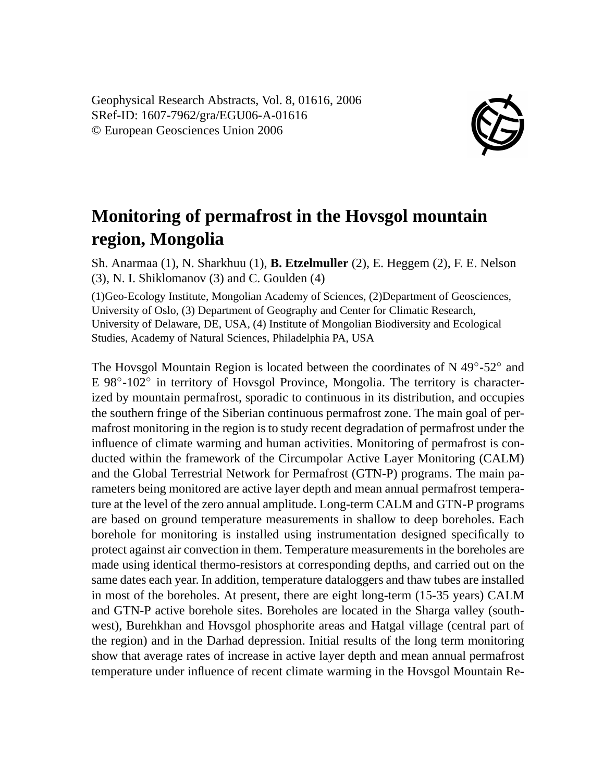Geophysical Research Abstracts, Vol. 8, 01616, 2006 SRef-ID: 1607-7962/gra/EGU06-A-01616 © European Geosciences Union 2006



## **Monitoring of permafrost in the Hovsgol mountain region, Mongolia**

Sh. Anarmaa (1), N. Sharkhuu (1), **B. Etzelmuller** (2), E. Heggem (2), F. E. Nelson (3), N. I. Shiklomanov (3) and C. Goulden (4)

(1)Geo-Ecology Institute, Mongolian Academy of Sciences, (2)Department of Geosciences, University of Oslo, (3) Department of Geography and Center for Climatic Research, University of Delaware, DE, USA, (4) Institute of Mongolian Biodiversity and Ecological Studies, Academy of Natural Sciences, Philadelphia PA, USA

The Hovsgol Mountain Region is located between the coordinates of N 49 $^{\circ}$ -52 $^{\circ}$  and E 98°-102° in territory of Hovsgol Province, Mongolia. The territory is characterized by mountain permafrost, sporadic to continuous in its distribution, and occupies the southern fringe of the Siberian continuous permafrost zone. The main goal of permafrost monitoring in the region is to study recent degradation of permafrost under the influence of climate warming and human activities. Monitoring of permafrost is conducted within the framework of the Circumpolar Active Layer Monitoring (CALM) and the Global Terrestrial Network for Permafrost (GTN-P) programs. The main parameters being monitored are active layer depth and mean annual permafrost temperature at the level of the zero annual amplitude. Long-term CALM and GTN-P programs are based on ground temperature measurements in shallow to deep boreholes. Each borehole for monitoring is installed using instrumentation designed specifically to protect against air convection in them. Temperature measurements in the boreholes are made using identical thermo-resistors at corresponding depths, and carried out on the same dates each year. In addition, temperature dataloggers and thaw tubes are installed in most of the boreholes. At present, there are eight long-term (15-35 years) CALM and GTN-P active borehole sites. Boreholes are located in the Sharga valley (southwest), Burehkhan and Hovsgol phosphorite areas and Hatgal village (central part of the region) and in the Darhad depression. Initial results of the long term monitoring show that average rates of increase in active layer depth and mean annual permafrost temperature under influence of recent climate warming in the Hovsgol Mountain Re